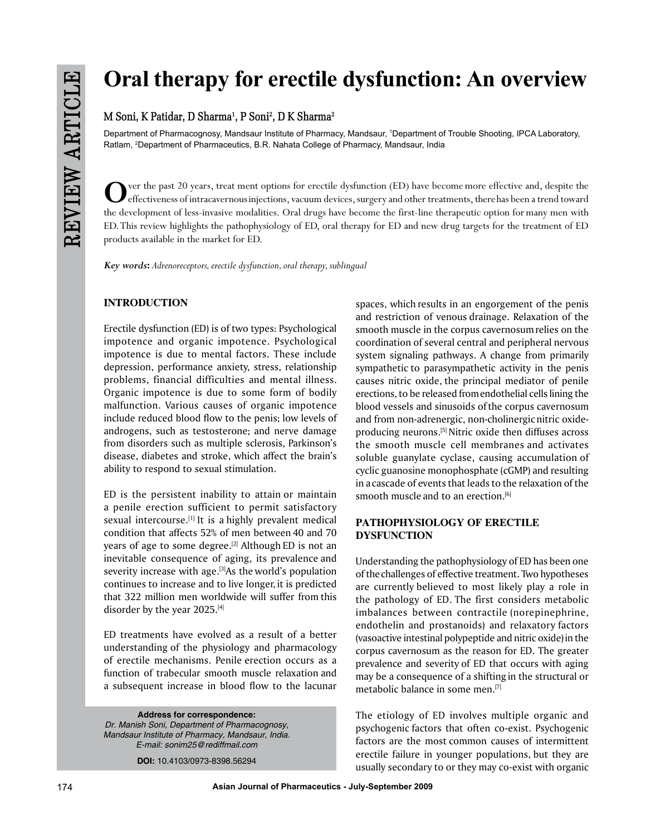# **Oral therapy for erectile dysfunction: An overview**

# **M Soni, K Patidar, D Sharma1 , P Soni2 , D K Sharma2**

Department of Pharmacognosy, Mandsaur Institute of Pharmacy, Mandsaur, 1 Department of Trouble Shooting, IPCA Laboratory, Ratlam, 2 Department of Pharmaceutics, B.R. Nahata College of Pharmacy, Mandsaur, India

O ver the past 20 years, treat ment options for erectile dysfunction (ED) have become more effective and, despite the effectiveness of intracavernous injections, vacuum devices, surgery and other treatments, there has been the development of less-invasive modalities. Oral drugs have become the first-line therapeutic option for many men with ED. This review highlights the pathophysiology of ED, oral therapy for ED and new drug targets for the treatment of ED products available in the market for ED.

*Key words***:** *Adrenoreceptors, erectile dysfunction, oral therapy, sublingual*

## **INTRODUCTION**

Erectile dysfunction (ED) is of two types: Psychological impotence and organic impotence. Psychological impotence is due to mental factors. These include depression, performance anxiety, stress, relationship problems, financial difficulties and mental illness. Organic impotence is due to some form of bodily malfunction. Various causes of organic impotence include reduced blood flow to the penis; low levels of androgens, such as testosterone; and nerve damage from disorders such as multiple sclerosis, Parkinson's disease, diabetes and stroke, which affect the brain's ability to respond to sexual stimulation.

ED is the persistent inability to attain or maintain a penile erection sufficient to permit satisfactory sexual intercourse.<sup>[1]</sup> It is a highly prevalent medical condition that affects 52% of men between 40 and 70 years of age to some degree.<sup>[2]</sup> Although ED is not an inevitable consequence of aging, its prevalence and severity increase with age.<sup>[3]</sup>As the world's population continues to increase and to live longer, it is predicted that 322 million men worldwide will suffer from this disorder by the year 2025.<sup>[4]</sup>

ED treatments have evolved as a result of a better understanding of the physiology and pharmacology of erectile mechanisms. Penile erection occurs as a function of trabecular smooth muscle relaxation and a subsequent increase in blood flow to the lacunar

**Address for correspondence:** *Dr. Manish Soni, Department of Pharmacognosy, Mandsaur Institute of Pharmacy, Mandsaur, India. E-mail: sonim25@rediffmail.com*

**DOI:** 10.4103/0973-8398.56294

spaces, which results in an engorgement of the penis and restriction of venous drainage. Relaxation of the smooth muscle in the corpus cavernosumrelies on the coordination of several central and peripheral nervous system signaling pathways. A change from primarily sympathetic to parasympathetic activity in the penis causes nitric oxide, the principal mediator of penile erections, to be released fromendothelial cells lining the blood vessels and sinusoids ofthe corpus cavernosum and from non-adrenergic, non-cholinergic nitric oxideproducing neurons.[5] Nitric oxide then diffuses across the smooth muscle cell membranes and activates soluble guanylate cyclase, causing accumulation of cyclic guanosine monophosphate (cGMP) and resulting in acascade of events that leads to the relaxation of the smooth muscle and to an erection. $[6]$ 

# **PATHOPHYSIOLOGY OF Erectile Dysfunction**

Understanding the pathophysiology of ED has been one of thechallenges of effective treatment. Two hypotheses are currently believed to most likely play a role in the pathology of ED. The first considers metabolic imbalances between contractile (norepinephrine, endothelin and prostanoids) and relaxatory factors (vasoactive intestinal polypeptide and nitric oxide)in the corpus cavernosum as the reason for ED. The greater prevalence and severity of ED that occurs with aging may be a consequence of a shifting in the structural or metabolic balance in some men.[7]

The etiology of ED involves multiple organic and psychogenic factors that often co-exist. Psychogenic factors are the most common causes of intermittent erectile failure in younger populations, but they are usually secondary to or they may co-exist with organic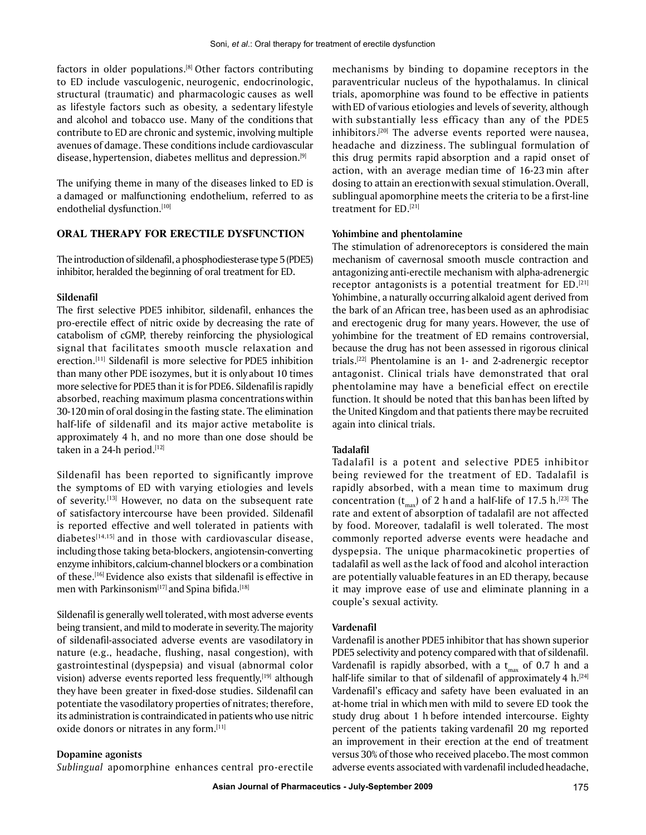factors in older populations. $[8]$  Other factors contributing to ED include vasculogenic, neurogenic, endocrinologic, structural (traumatic) and pharmacologic causes as well as lifestyle factors such as obesity, a sedentary lifestyle and alcohol and tobacco use. Many of the conditions that contribute to ED are chronic and systemic, involving multiple avenues of damage. These conditions include cardiovascular disease, hypertension, diabetes mellitus and depression.[9]

The unifying theme in many of the diseases linked to ED is a damaged or malfunctioning endothelium, referred to as endothelial dysfunction.[10]

#### **ORAL THERAPY FOR Erectile Dysfunction**

The introduction of sildenafil, a phosphodiesterase type 5 (PDE5) inhibitor, heralded the beginning of oral treatment for ED.

#### **Sildenafil**

The first selective PDE5 inhibitor, sildenafil, enhances the pro-erectile effect of nitric oxide by decreasing the rate of catabolism of cGMP, thereby reinforcing the physiological signal that facilitates smooth muscle relaxation and erection.<sup>[11]</sup> Sildenafil is more selective for PDE5 inhibition than many other PDE isozymes, but it is only about 10 times more selective for PDE5 than it is for PDE6. Sildenafilis rapidly absorbed, reaching maximum plasma concentrations within 30-120min of oral dosingin the fasting state. The elimination half-life of sildenafil and its major active metabolite is approximately 4 h, and no more than one dose should be taken in a 24-h period. $[12]$ 

Sildenafil has been reported to significantly improve the symptoms of ED with varying etiologies and levels of severity.[13] However, no data on the subsequent rate of satisfactory intercourse have been provided. Sildenafil is reported effective and well tolerated in patients with diabetes $[14,15]$  and in those with cardiovascular disease, including those taking beta-blockers, angiotensin-converting enzyme inhibitors,calcium-channel blockers or a combination of these.<sup>[16]</sup> Evidence also exists that sildenafil is effective in men with Parkinsonism<sup>[17]</sup> and Spina bifida.<sup>[18]</sup>

Sildenafil is generally well tolerated, with most adverse events being transient, and mild to moderate in severity.The majority of sildenafil-associated adverse events are vasodilatory in nature (e.g., headache, flushing, nasal congestion), with gastrointestinal (dyspepsia) and visual (abnormal color vision) adverse events reported less frequently,<sup>[19]</sup> although they have been greater in fixed-dose studies. Sildenafil can potentiate the vasodilatory properties of nitrates; therefore, its administration is contraindicated in patients who use nitric oxide donors or nitrates in any form.<sup>[11]</sup>

#### **Dopamine agonists**

*Sublingual* apomorphine enhances central pro-erectile

mechanisms by binding to dopamine receptors in the paraventricular nucleus of the hypothalamus. In clinical trials, apomorphine was found to be effective in patients withED of various etiologies and levels of severity, although with substantially less efficacy than any of the PDE5 inhibitors.<sup>[20]</sup> The adverse events reported were nausea, headache and dizziness. The sublingual formulation of this drug permits rapid absorption and a rapid onset of action, with an average median time of 16-23 min after dosing to attain an erectionwith sexual stimulation.Overall, sublingual apomorphine meets the criteria to be a first-line treatment for ED.[21]

#### **Yohimbine and phentolamine**

The stimulation of adrenoreceptors is considered the main mechanism of cavernosal smooth muscle contraction and antagonizing anti-erectile mechanism with alpha-adrenergic receptor antagonists is a potential treatment for ED.<sup>[21]</sup> Yohimbine, a naturally occurringalkaloid agent derived from the bark of an African tree, has been used as an aphrodisiac and erectogenic drug for many years. However, the use of yohimbine for the treatment of ED remains controversial, because the drug has not been assessed in rigorous clinical trials.[22] Phentolamine is an 1- and 2-adrenergic receptor antagonist. Clinical trials have demonstrated that oral phentolamine may have a beneficial effect on erectile function. It should be noted that this ban has been lifted by the United Kingdom and that patients there maybe recruited again into clinical trials.

#### **Tadalafil**

Tadalafil is a potent and selective PDE5 inhibitor being reviewed for the treatment of ED. Tadalafil is rapidly absorbed, with a mean time to maximum drug concentration  $(t_{max})$  of 2 h and a half-life of 17.5 h.<sup>[23]</sup> The rate and extent of absorption of tadalafil are not affected by food. Moreover, tadalafil is well tolerated. The most commonly reported adverse events were headache and dyspepsia. The unique pharmacokinetic properties of tadalafil as well asthe lack of food and alcohol interaction are potentially valuable features in an ED therapy, because it may improve ease of use and eliminate planning in a couple's sexual activity.

#### **Vardenafil**

Vardenafil is another PDE5 inhibitor that has shown superior PDE5 selectivity and potency compared with that of sildenafil. Vardenafil is rapidly absorbed, with a  $t_{max}$  of 0.7 h and a half-life similar to that of sildenafil of approximately 4  $h$ .<sup>[24]</sup> Vardenafil's efficacy and safety have been evaluated in an at-home trial in which men with mild to severe ED took the study drug about 1 h before intended intercourse. Eighty percent of the patients taking vardenafil 20 mg reported an improvement in their erection at the end of treatment versus 30% of those who received placebo.The most common adverse events associated with vardenafil includedheadache,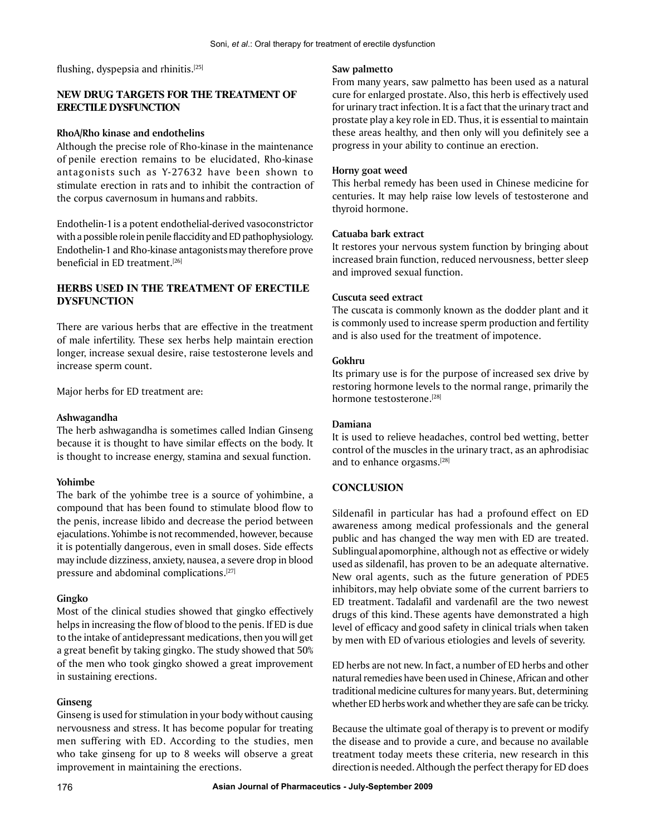flushing, dyspepsia and rhinitis.<sup>[25]</sup>

## **NEW DRUG TARGETS FOR THE TREATMENT OF Erectile Dysfunction**

#### **RhoA/Rho kinase and endothelins**

Although the precise role of Rho-kinase in the maintenance of penile erection remains to be elucidated, Rho-kinase antagonists such as Y-27632 have been shown to stimulate erection in rats and to inhibit the contraction of the corpus cavernosum in humans and rabbits.

Endothelin-1is a potent endothelial-derived vasoconstrictor with a possible rolein penile flaccidity and ED pathophysiology. Endothelin-1 and Rho-kinase antagonistsmay therefore prove beneficial in ED treatment.<sup>[26]</sup>

# **HERBS USED IN THE TREATMENT OF Erectile Dysfunction**

There are various herbs that are effective in the treatment of male infertility. These sex herbs help maintain erection longer, increase sexual desire, raise testosterone levels and increase sperm count.

Major herbs for ED treatment are:

#### **Ashwagandha**

The herb ashwagandha is sometimes called Indian Ginseng because it is thought to have similar effects on the body. It is thought to increase energy, stamina and sexual function.

#### **Yohimbe**

The bark of the yohimbe tree is a source of yohimbine, a compound that has been found to stimulate blood flow to the penis, increase libido and decrease the period between ejaculations. Yohimbe is not recommended, however, because it is potentially dangerous, even in small doses. Side effects may include dizziness, anxiety, nausea, a severe drop in blood pressure and abdominal complications.[27]

#### **Gingko**

Most of the clinical studies showed that gingko effectively helps in increasing the flow of blood to the penis. If ED is due to the intake of antidepressant medications, then you will get a great benefit by taking gingko. The study showed that 50% of the men who took gingko showed a great improvement in sustaining erections.

#### **Ginseng**

Ginseng is used for stimulation in your body without causing nervousness and stress. It has become popular for treating men suffering with ED. According to the studies, men who take ginseng for up to 8 weeks will observe a great improvement in maintaining the erections.

#### **Saw palmetto**

From many years, saw palmetto has been used as a natural cure for enlarged prostate. Also, this herb is effectively used for urinary tract infection. It is a fact that the urinary tract and prostate play a key role in ED. Thus, it is essential to maintain these areas healthy, and then only will you definitely see a progress in your ability to continue an erection.

#### **Horny goat weed**

This herbal remedy has been used in Chinese medicine for centuries. It may help raise low levels of testosterone and thyroid hormone.

#### **Catuaba bark extract**

It restores your nervous system function by bringing about increased brain function, reduced nervousness, better sleep and improved sexual function.

#### **Cuscuta seed extract**

The cuscata is commonly known as the dodder plant and it is commonly used to increase sperm production and fertility and is also used for the treatment of impotence.

#### **Gokhru**

Its primary use is for the purpose of increased sex drive by restoring hormone levels to the normal range, primarily the hormone testosterone.[28]

#### **Damiana**

It is used to relieve headaches, control bed wetting, better control of the muscles in the urinary tract, as an aphrodisiac and to enhance orgasms.[28]

### **CONCLUSION**

Sildenafil in particular has had a profound effect on ED awareness among medical professionals and the general public and has changed the way men with ED are treated. Sublingual apomorphine, although not as effective or widely used as sildenafil, has proven to be an adequate alternative. New oral agents, such as the future generation of PDE5 inhibitors,may help obviate some of the current barriers to ED treatment. Tadalafil and vardenafil are the two newest drugs of this kind. These agents have demonstrated a high level of efficacy and good safety in clinical trials when taken by men with ED of various etiologies and levels of severity.

ED herbs are not new. In fact, a number of ED herbs and other natural remedies have been used in Chinese, African and other traditional medicine cultures for many years. But, determining whether ED herbs work and whether they are safe can be tricky.

Because the ultimate goal of therapy is to prevent or modify the disease and to provide a cure, and because no available treatment today meets these criteria, new research in this directionis needed. Although the perfect therapy for ED does